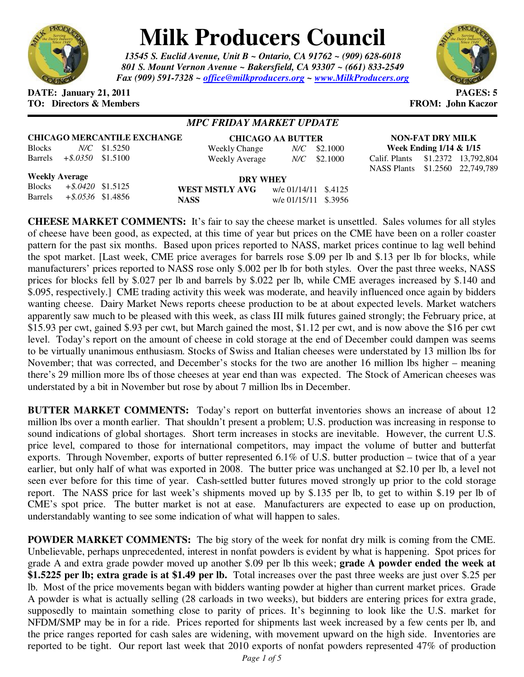

# **Milk Producers Council**

*13545 S. Euclid Avenue, Unit B ~ Ontario, CA 91762 ~ (909) 628-6018 801 S. Mount Vernon Avenue ~ Bakersfield, CA 93307 ~ (661) 833-2549 Fax (909) 591-7328 ~ office@milkproducers.org ~ www.MilkProducers.org*



#### **DATE: January 21, 2011 PAGES: 5 TO: Directors & Members FROM: John Kaczor**

## *MPC FRIDAY MARKET UPDATE*

## **CHICAGO MERCANTILE EXCHANGE**

| <b>Blocks</b> |                      | $N/C$ \$1.5250 |  |
|---------------|----------------------|----------------|--|
| Barrels       | $+$ \$.0350 \$1.5100 |                |  |

| <b>CHICAGO AA BUTTER</b> |  |                |  |  |
|--------------------------|--|----------------|--|--|
| Weekly Change            |  | $N/C$ \$2.1000 |  |  |
| Weekly Average           |  | $N/C$ \$2.1000 |  |  |

**NON-FAT DRY MILK Week Ending 1/14 & 1/15**  Calif. Plants \$1.2372 13,792,804

NASS Plants \$1.2560 22,749,789

**Weekly Average**

Blocks *+\$.0420* \$1.5125 Barrels *+\$.0536* \$1.4856

**DRY WHEY WEST MSTLY AVG** w/e 01/14/11 \$.4125 **NASS** w/e 01/15/11 \$.3956

**CHEESE MARKET COMMENTS:** It's fair to say the cheese market is unsettled. Sales volumes for all styles of cheese have been good, as expected, at this time of year but prices on the CME have been on a roller coaster pattern for the past six months. Based upon prices reported to NASS, market prices continue to lag well behind the spot market. [Last week, CME price averages for barrels rose \$.09 per lb and \$.13 per lb for blocks, while manufacturers' prices reported to NASS rose only \$.002 per lb for both styles. Over the past three weeks, NASS prices for blocks fell by \$.027 per lb and barrels by \$.022 per lb, while CME averages increased by \$.140 and \$.095, respectively.] CME trading activity this week was moderate, and heavily influenced once again by bidders wanting cheese. Dairy Market News reports cheese production to be at about expected levels. Market watchers apparently saw much to be pleased with this week, as class III milk futures gained strongly; the February price, at \$15.93 per cwt, gained \$.93 per cwt, but March gained the most, \$1.12 per cwt, and is now above the \$16 per cwt level. Today's report on the amount of cheese in cold storage at the end of December could dampen was seems to be virtually unanimous enthusiasm. Stocks of Swiss and Italian cheeses were understated by 13 million lbs for November; that was corrected, and December's stocks for the two are another 16 million lbs higher – meaning there's 29 million more lbs of those cheeses at year end than was expected. The Stock of American cheeses was understated by a bit in November but rose by about 7 million lbs in December.

**BUTTER MARKET COMMENTS:** Today's report on butterfat inventories shows an increase of about 12 million lbs over a month earlier. That shouldn't present a problem; U.S. production was increasing in response to sound indications of global shortages. Short term increases in stocks are inevitable. However, the current U.S. price level, compared to those for international competitors, may impact the volume of butter and butterfat exports. Through November, exports of butter represented 6.1% of U.S. butter production – twice that of a year earlier, but only half of what was exported in 2008. The butter price was unchanged at \$2.10 per lb, a level not seen ever before for this time of year. Cash-settled butter futures moved strongly up prior to the cold storage report. The NASS price for last week's shipments moved up by \$.135 per lb, to get to within \$.19 per lb of CME's spot price. The butter market is not at ease. Manufacturers are expected to ease up on production, understandably wanting to see some indication of what will happen to sales.

**POWDER MARKET COMMENTS:** The big story of the week for nonfat dry milk is coming from the CME. Unbelievable, perhaps unprecedented, interest in nonfat powders is evident by what is happening. Spot prices for grade A and extra grade powder moved up another \$.09 per lb this week; **grade A powder ended the week at \$1.5225 per lb; extra grade is at \$1.49 per lb.** Total increases over the past three weeks are just over \$.25 per lb. Most of the price movements began with bidders wanting powder at higher than current market prices. Grade A powder is what is actually selling (28 carloads in two weeks), but bidders are entering prices for extra grade, supposedly to maintain something close to parity of prices. It's beginning to look like the U.S. market for NFDM/SMP may be in for a ride. Prices reported for shipments last week increased by a few cents per lb, and the price ranges reported for cash sales are widening, with movement upward on the high side. Inventories are reported to be tight. Our report last week that 2010 exports of nonfat powders represented 47% of production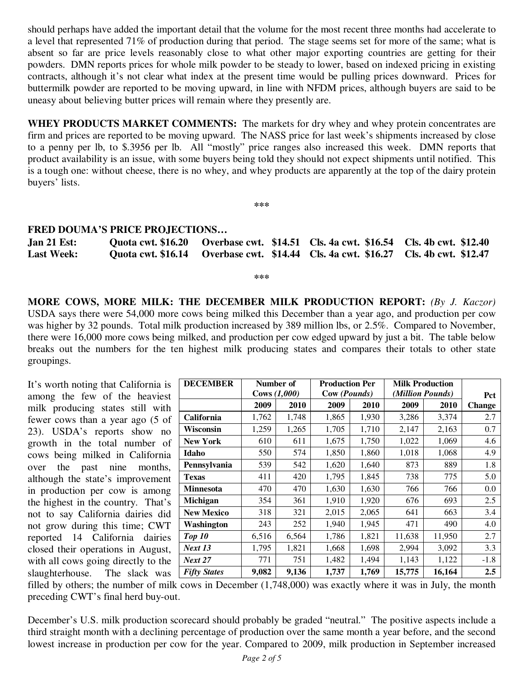should perhaps have added the important detail that the volume for the most recent three months had accelerate to a level that represented 71% of production during that period. The stage seems set for more of the same; what is absent so far are price levels reasonably close to what other major exporting countries are getting for their powders. DMN reports prices for whole milk powder to be steady to lower, based on indexed pricing in existing contracts, although it's not clear what index at the present time would be pulling prices downward. Prices for buttermilk powder are reported to be moving upward, in line with NFDM prices, although buyers are said to be uneasy about believing butter prices will remain where they presently are.

**WHEY PRODUCTS MARKET COMMENTS:** The markets for dry whey and whey protein concentrates are firm and prices are reported to be moving upward. The NASS price for last week's shipments increased by close to a penny per lb, to \$.3956 per lb. All "mostly" price ranges also increased this week. DMN reports that product availability is an issue, with some buyers being told they should not expect shipments until notified. This is a tough one: without cheese, there is no whey, and whey products are apparently at the top of the dairy protein buyers' lists.

**\*\*\*** 

#### **FRED DOUMA'S PRICE PROJECTIONS…**

| $Jan 21$ Est:     |  | Quota cwt. \$16.20 Overbase cwt. \$14.51 Cls. 4a cwt. \$16.54 Cls. 4b cwt. \$12.40 |  |
|-------------------|--|------------------------------------------------------------------------------------|--|
| <b>Last Week:</b> |  | Quota cwt. \$16.14 Overbase cwt. \$14.44 Cls. 4a cwt. \$16.27 Cls. 4b cwt. \$12.47 |  |

**\*\*\*** 

**MORE COWS, MORE MILK: THE DECEMBER MILK PRODUCTION REPORT:** *(By J. Kaczor)* USDA says there were 54,000 more cows being milked this December than a year ago, and production per cow was higher by 32 pounds. Total milk production increased by 389 million lbs, or 2.5%. Compared to November, there were 16,000 more cows being milked, and production per cow edged upward by just a bit. The table below breaks out the numbers for the ten highest milk producing states and compares their totals to other state groupings.

It's worth noting that California is among the few of the heaviest milk producing states still with fewer cows than a year ago (5 of 23). USDA's reports show no growth in the total number of cows being milked in California over the past nine months, although the state's improvement in production per cow is among the highest in the country. That's not to say California dairies did not grow during this time; CWT reported 14 California dairies closed their operations in August, with all cows going directly to the slaughterhouse. The slack was

| <b>DECEMBER</b>     | Number of    |       | <b>Production Per</b> |       | <b>Milk Production</b> |        |               |
|---------------------|--------------|-------|-----------------------|-------|------------------------|--------|---------------|
|                     | Cows (1,000) |       | Cow (Pounds)          |       | (Million Pounds)       |        | Pct           |
|                     | 2009         | 2010  | 2009                  | 2010  | 2009                   | 2010   | <b>Change</b> |
| California          | 1,762        | 1,748 | 1,865                 | 1,930 | 3,286                  | 3,374  | 2.7           |
| Wisconsin           | 1,259        | 1,265 | 1,705                 | 1,710 | 2,147                  | 2,163  | 0.7           |
| <b>New York</b>     | 610          | 611   | 1,675                 | 1,750 | 1,022                  | 1,069  | 4.6           |
| Idaho               | 550          | 574   | 1,850                 | 1,860 | 1,018                  | 1,068  | 4.9           |
| Pennsylvania        | 539          | 542   | 1,620                 | 1,640 | 873                    | 889    | 1.8           |
| <b>Texas</b>        | 411          | 420   | 1,795                 | 1,845 | 738                    | 775    | 5.0           |
| Minnesota           | 470          | 470   | 1,630                 | 1,630 | 766                    | 766    | 0.0           |
| Michigan            | 354          | 361   | 1,910                 | 1,920 | 676                    | 693    | 2.5           |
| <b>New Mexico</b>   | 318          | 321   | 2,015                 | 2,065 | 641                    | 663    | 3.4           |
| Washington          | 243          | 252   | 1,940                 | 1,945 | 471                    | 490    | 4.0           |
| Top 10              | 6,516        | 6,564 | 1,786                 | 1,821 | 11,638                 | 11,950 | 2.7           |
| <b>Next 13</b>      | 1,795        | 1,821 | 1,668                 | 1,698 | 2,994                  | 3,092  | 3.3           |
| <b>Next 27</b>      | 771          | 751   | 1,482                 | 1,494 | 1,143                  | 1,122  | $-1.8$        |
| <b>Fifty States</b> | 9,082        | 9,136 | 1,737                 | 1,769 | 15,775                 | 16,164 | 2.5           |

filled by others; the number of milk cows in December (1,748,000) was exactly where it was in July, the month preceding CWT's final herd buy-out.

December's U.S. milk production scorecard should probably be graded "neutral." The positive aspects include a third straight month with a declining percentage of production over the same month a year before, and the second lowest increase in production per cow for the year. Compared to 2009, milk production in September increased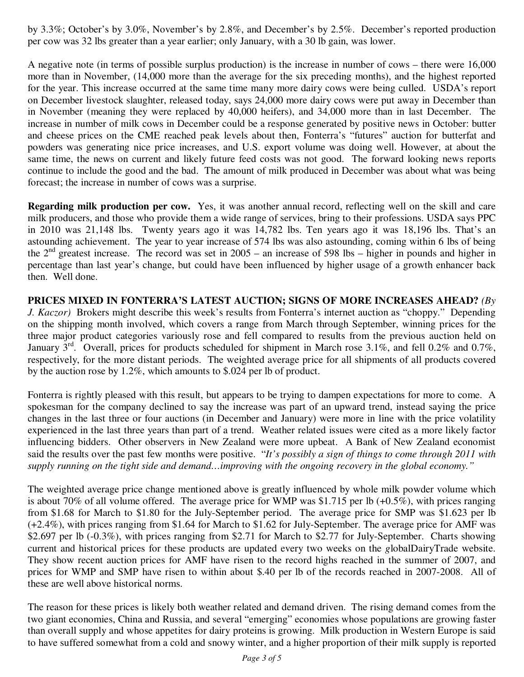by 3.3%; October's by 3.0%, November's by 2.8%, and December's by 2.5%. December's reported production per cow was 32 lbs greater than a year earlier; only January, with a 30 lb gain, was lower.

A negative note (in terms of possible surplus production) is the increase in number of cows – there were 16,000 more than in November, (14,000 more than the average for the six preceding months), and the highest reported for the year. This increase occurred at the same time many more dairy cows were being culled. USDA's report on December livestock slaughter, released today, says 24,000 more dairy cows were put away in December than in November (meaning they were replaced by 40,000 heifers), and 34,000 more than in last December. The increase in number of milk cows in December could be a response generated by positive news in October: butter and cheese prices on the CME reached peak levels about then, Fonterra's "futures" auction for butterfat and powders was generating nice price increases, and U.S. export volume was doing well. However, at about the same time, the news on current and likely future feed costs was not good. The forward looking news reports continue to include the good and the bad. The amount of milk produced in December was about what was being forecast; the increase in number of cows was a surprise.

**Regarding milk production per cow.** Yes, it was another annual record, reflecting well on the skill and care milk producers, and those who provide them a wide range of services, bring to their professions. USDA says PPC in 2010 was 21,148 lbs. Twenty years ago it was 14,782 lbs. Ten years ago it was 18,196 lbs. That's an astounding achievement. The year to year increase of 574 lbs was also astounding, coming within 6 lbs of being the  $2<sup>nd</sup>$  greatest increase. The record was set in 2005 – an increase of 598 lbs – higher in pounds and higher in percentage than last year's change, but could have been influenced by higher usage of a growth enhancer back then. Well done.

**PRICES MIXED IN FONTERRA'S LATEST AUCTION; SIGNS OF MORE INCREASES AHEAD?** *(By J. Kaczor)* Brokers might describe this week's results from Fonterra's internet auction as "choppy." Depending on the shipping month involved, which covers a range from March through September, winning prices for the three major product categories variously rose and fell compared to results from the previous auction held on January  $3^{\text{rd}}$ . Overall, prices for products scheduled for shipment in March rose 3.1%, and fell 0.2% and 0.7%, respectively, for the more distant periods. The weighted average price for all shipments of all products covered by the auction rose by 1.2%, which amounts to \$.024 per lb of product.

Fonterra is rightly pleased with this result, but appears to be trying to dampen expectations for more to come. A spokesman for the company declined to say the increase was part of an upward trend, instead saying the price changes in the last three or four auctions (in December and January) were more in line with the price volatility experienced in the last three years than part of a trend. Weather related issues were cited as a more likely factor influencing bidders. Other observers in New Zealand were more upbeat. A Bank of New Zealand economist said the results over the past few months were positive. "*It's possibly a sign of things to come through 2011 with supply running on the tight side and demand…improving with the ongoing recovery in the global economy."* 

The weighted average price change mentioned above is greatly influenced by whole milk powder volume which is about 70% of all volume offered. The average price for WMP was \$1.715 per lb (+0.5%), with prices ranging from \$1.68 for March to \$1.80 for the July-September period. The average price for SMP was \$1.623 per lb (+2.4%), with prices ranging from \$1.64 for March to \$1.62 for July-September. The average price for AMF was \$2.697 per lb (-0.3%), with prices ranging from \$2.71 for March to \$2.77 for July-September. Charts showing current and historical prices for these products are updated every two weeks on the *g*lobalDairyTrade website. They show recent auction prices for AMF have risen to the record highs reached in the summer of 2007, and prices for WMP and SMP have risen to within about \$.40 per lb of the records reached in 2007-2008. All of these are well above historical norms.

The reason for these prices is likely both weather related and demand driven. The rising demand comes from the two giant economies, China and Russia, and several "emerging" economies whose populations are growing faster than overall supply and whose appetites for dairy proteins is growing. Milk production in Western Europe is said to have suffered somewhat from a cold and snowy winter, and a higher proportion of their milk supply is reported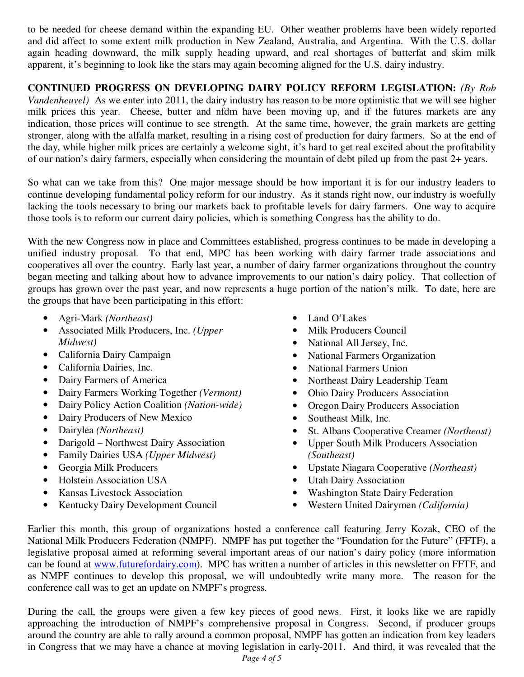to be needed for cheese demand within the expanding EU. Other weather problems have been widely reported and did affect to some extent milk production in New Zealand, Australia, and Argentina. With the U.S. dollar again heading downward, the milk supply heading upward, and real shortages of butterfat and skim milk apparent, it's beginning to look like the stars may again becoming aligned for the U.S. dairy industry.

**CONTINUED PROGRESS ON DEVELOPING DAIRY POLICY REFORM LEGISLATION:** *(By Rob Vandenheuvel*) As we enter into 2011, the dairy industry has reason to be more optimistic that we will see higher milk prices this year. Cheese, butter and nfdm have been moving up, and if the futures markets are any indication, those prices will continue to see strength. At the same time, however, the grain markets are getting stronger, along with the alfalfa market, resulting in a rising cost of production for dairy farmers. So at the end of the day, while higher milk prices are certainly a welcome sight, it's hard to get real excited about the profitability of our nation's dairy farmers, especially when considering the mountain of debt piled up from the past 2+ years.

So what can we take from this? One major message should be how important it is for our industry leaders to continue developing fundamental policy reform for our industry. As it stands right now, our industry is woefully lacking the tools necessary to bring our markets back to profitable levels for dairy farmers. One way to acquire those tools is to reform our current dairy policies, which is something Congress has the ability to do.

With the new Congress now in place and Committees established, progress continues to be made in developing a unified industry proposal. To that end, MPC has been working with dairy farmer trade associations and cooperatives all over the country. Early last year, a number of dairy farmer organizations throughout the country began meeting and talking about how to advance improvements to our nation's dairy policy. That collection of groups has grown over the past year, and now represents a huge portion of the nation's milk. To date, here are the groups that have been participating in this effort:

- Agri-Mark *(Northeast)*
- Associated Milk Producers, Inc. *(Upper Midwest)*
- California Dairy Campaign
- California Dairies, Inc.
- Dairy Farmers of America
- Dairy Farmers Working Together *(Vermont)*
- Dairy Policy Action Coalition *(Nation-wide)*
- Dairy Producers of New Mexico
- Dairylea *(Northeast)*
- Darigold Northwest Dairy Association
- Family Dairies USA *(Upper Midwest)*
- Georgia Milk Producers
- Holstein Association USA
- Kansas Livestock Association
- Kentucky Dairy Development Council
- Land O'Lakes
- Milk Producers Council
- National All Jersey, Inc.
- National Farmers Organization
- National Farmers Union
- Northeast Dairy Leadership Team
- Ohio Dairy Producers Association
- Oregon Dairy Producers Association
- Southeast Milk, Inc.
- St. Albans Cooperative Creamer *(Northeast)*
- Upper South Milk Producers Association *(Southeast)*
- Upstate Niagara Cooperative *(Northeast)*
- Utah Dairy Association
- Washington State Dairy Federation
- Western United Dairymen *(California)*

Earlier this month, this group of organizations hosted a conference call featuring Jerry Kozak, CEO of the National Milk Producers Federation (NMPF). NMPF has put together the "Foundation for the Future" (FFTF), a legislative proposal aimed at reforming several important areas of our nation's dairy policy (more information can be found at www.futurefordairy.com). MPC has written a number of articles in this newsletter on FFTF, and as NMPF continues to develop this proposal, we will undoubtedly write many more. The reason for the conference call was to get an update on NMPF's progress.

During the call, the groups were given a few key pieces of good news. First, it looks like we are rapidly approaching the introduction of NMPF's comprehensive proposal in Congress. Second, if producer groups around the country are able to rally around a common proposal, NMPF has gotten an indication from key leaders in Congress that we may have a chance at moving legislation in early-2011. And third, it was revealed that the